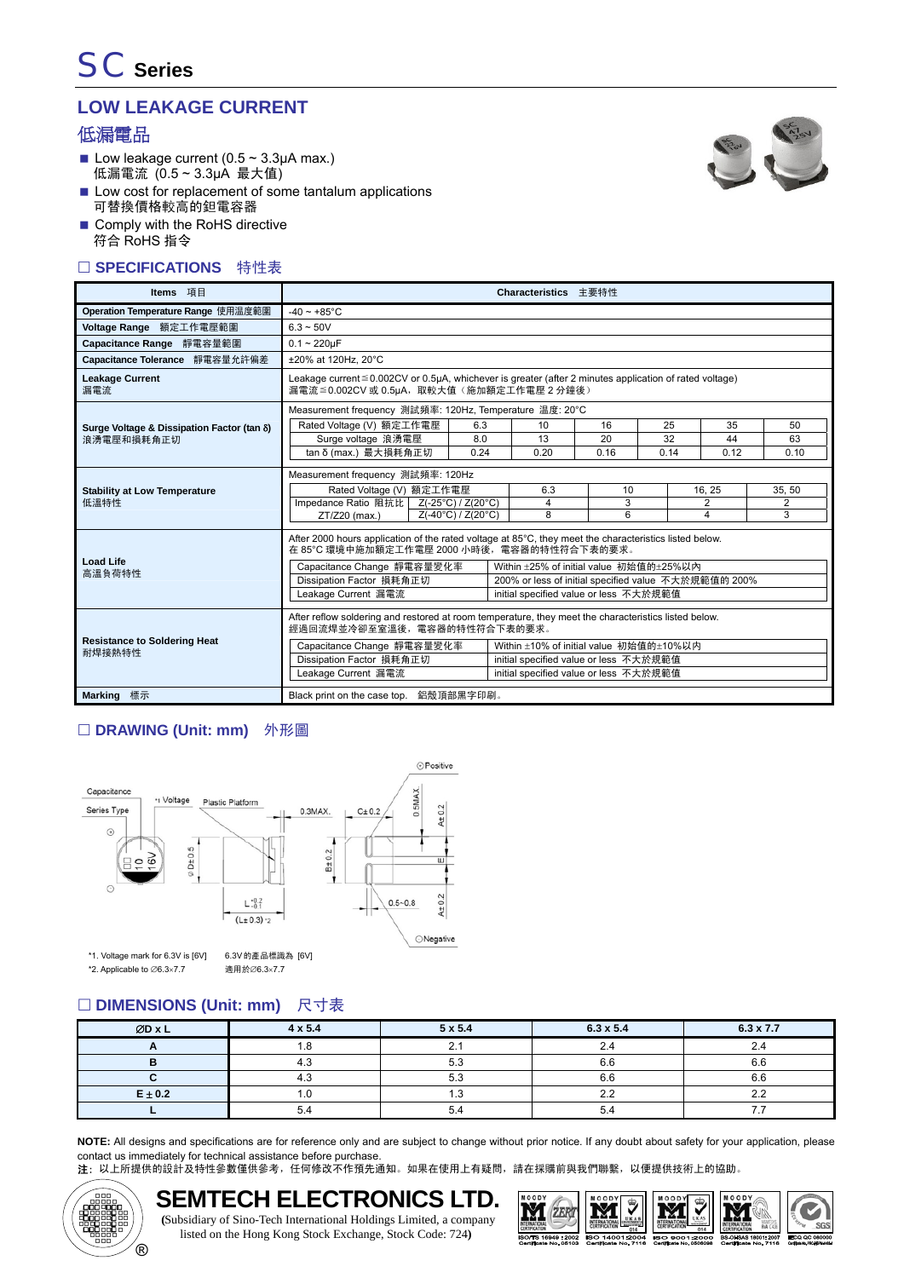# **LOW LEAKAGE CURRENT**

## 低漏電品

Low leakage current  $(0.5 \sim 3.3 \mu A \text{ max.})$ 低漏電流 (0.5 ~ 3.3μA 最大值)



- Low cost for replacement of some tantalum applications 可替換價格較高的鉭電容器
- Comply with the RoHS directive 符合 RoHS 指令

#### □ SPECIFICATIONS 特性表

| Items 項目                                      | Characteristics 主要特性                                                                                                                                       |                    |      |                                                      |      |      |                |        |  |
|-----------------------------------------------|------------------------------------------------------------------------------------------------------------------------------------------------------------|--------------------|------|------------------------------------------------------|------|------|----------------|--------|--|
| Operation Temperature Range 使用温度範圍            | $-40 \sim +85^{\circ}$ C                                                                                                                                   |                    |      |                                                      |      |      |                |        |  |
| Voltage Range 額定工作電壓範圍                        | $6.3 - 50V$                                                                                                                                                |                    |      |                                                      |      |      |                |        |  |
| Capacitance Range 靜電容量範圍                      | $0.1 - 220 \mu F$                                                                                                                                          |                    |      |                                                      |      |      |                |        |  |
| Capacitance Tolerance 靜電容量允許偏差                | ±20% at 120Hz. 20°C                                                                                                                                        |                    |      |                                                      |      |      |                |        |  |
| <b>Leakage Current</b><br>漏電流                 | Leakage current $\leq 0.002$ CV or 0.5µA, whichever is greater (after 2 minutes application of rated voltage)<br>漏電流≦0.002CV 或 0.5µA,取較大值 (施加額定工作電壓 2 分鐘後) |                    |      |                                                      |      |      |                |        |  |
|                                               | Measurement frequency 測試頻率: 120Hz, Temperature 温度: 20°C                                                                                                    |                    |      |                                                      |      |      |                |        |  |
| Surge Voltage & Dissipation Factor (tan δ)    | Rated Voltage (V) 額定工作電壓                                                                                                                                   |                    | 6.3  | 10                                                   | 16   | 25   | 35             | 50     |  |
| 浪湧雷壓和損耗角正切                                    | Surge voltage 浪湧電壓                                                                                                                                         |                    | 8.0  | 13                                                   | 20   | 32   | 44             | 63     |  |
|                                               | tan δ (max.) 最大損耗角正切                                                                                                                                       |                    | 0.24 | 0.20                                                 | 0.16 | 0.14 | 0.12           | 0.10   |  |
|                                               | Measurement frequency 測試頻率: 120Hz                                                                                                                          |                    |      |                                                      |      |      |                |        |  |
| <b>Stability at Low Temperature</b>           | Rated Voltage (V) 額定工作電壓                                                                                                                                   |                    |      | 6.3                                                  | 10   |      | 16.25          | 35, 50 |  |
| 低溫特性                                          | Impedance Ratio 阻抗比 Z(-25°C) / Z(20°C)                                                                                                                     |                    |      | 4                                                    | 3    |      | $\overline{2}$ | 2      |  |
|                                               | ZT/Z20 (max.)                                                                                                                                              | Z(-40°C) / Z(20°C) |      | 8                                                    | 6    |      | 4              | 3      |  |
|                                               | After 2000 hours application of the rated voltage at 85°C, they meet the characteristics listed below.<br>在 85°C 環境中施加額定工作電壓 2000 小時後,電容器的特性符合下表的要求。       |                    |      |                                                      |      |      |                |        |  |
| <b>Load Life</b><br>高溫負荷特性                    | Within ±25% of initial value 初始值的±25%以内<br>Capacitance Change 靜電容量變化率                                                                                      |                    |      |                                                      |      |      |                |        |  |
|                                               | Dissipation Factor 損耗角正切                                                                                                                                   |                    |      | 200% or less of initial specified value 不大於規範值的 200% |      |      |                |        |  |
|                                               | Leakage Current 漏電流                                                                                                                                        |                    |      | initial specified value or less 不大於規範值               |      |      |                |        |  |
|                                               | After reflow soldering and restored at room temperature, they meet the characteristics listed below.<br>經過回流焊並冷卻至室溫後,電容器的特性符合下表的要求。                        |                    |      |                                                      |      |      |                |        |  |
| <b>Resistance to Soldering Heat</b><br>耐焊接熱特性 | Capacitance Change 靜電容量變化率                                                                                                                                 |                    |      | Within ±10% of initial value 初始值的±10%以内              |      |      |                |        |  |
|                                               | Dissipation Factor 損耗角正切                                                                                                                                   |                    |      | initial specified value or less 不大於規範值               |      |      |                |        |  |
|                                               | Leakage Current 漏電流                                                                                                                                        |                    |      | initial specified value or less 不大於規範值               |      |      |                |        |  |
| Marking 標示                                    | Black print on the case top. 鋁殼頂部黑字印刷。                                                                                                                     |                    |      |                                                      |      |      |                |        |  |

## □ DRAWING (Unit: mm) 外形圖



## □ DIMENSIONS (Unit: mm) 尺寸表

| ØD x L      | $4 \times 5.4$ | $5 \times 5.4$ | $6.3 \times 5.4$ | $6.3 \times 7.7$ |
|-------------|----------------|----------------|------------------|------------------|
| n           | 1.8            |                | 2.4              | <u>. . - </u>    |
|             | 4.J            | 5.3            | 6.6              | 6.6              |
|             | 4.3            | 5.3            | 6.6              | 6.6              |
| $E \pm 0.2$ | 1.U            | . .            | າາ               | າາ               |
|             | 5.4            | 5.4            | 5.4              |                  |

**NOTE:** All designs and specifications are for reference only and are subject to change without prior notice. If any doubt about safety for your application, please contact us immediately for technical assistance before purchase.

注: 以上所提供的設計及特性參數僅供參考,任何修改不作預先通知。如果在使用上有疑問,請在採購前與我們聯繫,以便提供技術上的協助。



#### **SEMTECH ELECTRONICS LTD. (**Subsidiary of Sino-Tech International Holdings Limited, a company listed on the Hong Kong Stock Exchange, Stock Code: 724**)**